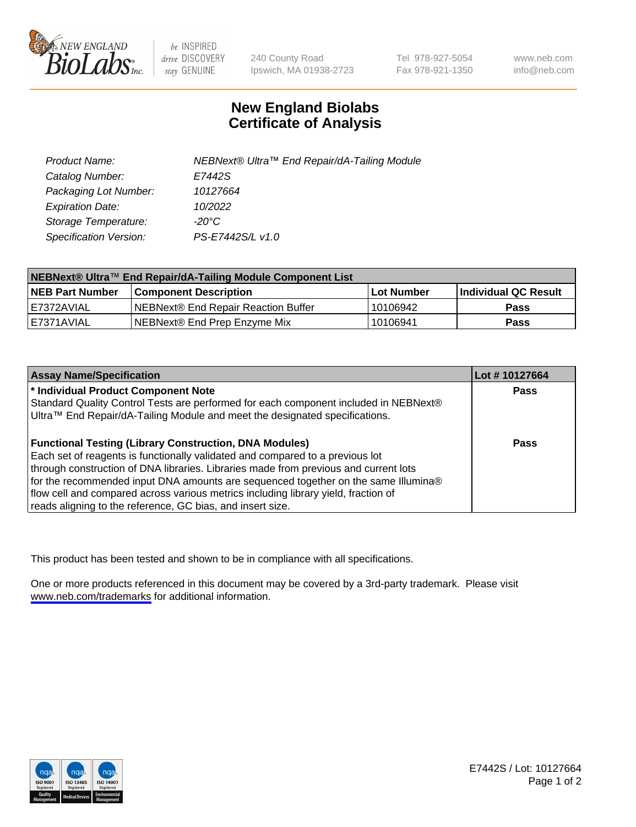

be INSPIRED drive DISCOVERY stay GENUINE

240 County Road Ipswich, MA 01938-2723 Tel 978-927-5054 Fax 978-921-1350

www.neb.com info@neb.com

## **New England Biolabs Certificate of Analysis**

| Product Name:           | NEBNext® Ultra™ End Repair/dA-Tailing Module |
|-------------------------|----------------------------------------------|
| Catalog Number:         | E7442S                                       |
| Packaging Lot Number:   | 10127664                                     |
| <b>Expiration Date:</b> | 10/2022                                      |
| Storage Temperature:    | -20°C                                        |
| Specification Version:  | PS-E7442S/L v1.0                             |

| NEBNext® Ultra™ End Repair/dA-Tailing Module Component List |                                     |            |                      |  |
|-------------------------------------------------------------|-------------------------------------|------------|----------------------|--|
| <b>NEB Part Number</b>                                      | <b>Component Description</b>        | Lot Number | Individual QC Result |  |
| l E7372AVIAL                                                | NEBNext® End Repair Reaction Buffer | 10106942   | <b>Pass</b>          |  |
| I E7371AVIAL                                                | NEBNext® End Prep Enzyme Mix        | 10106941   | <b>Pass</b>          |  |

| <b>Assay Name/Specification</b>                                                      | Lot #10127664 |
|--------------------------------------------------------------------------------------|---------------|
| * Individual Product Component Note                                                  | <b>Pass</b>   |
| Standard Quality Control Tests are performed for each component included in NEBNext® |               |
| Ultra™ End Repair/dA-Tailing Module and meet the designated specifications.          |               |
| <b>Functional Testing (Library Construction, DNA Modules)</b>                        | Pass          |
| Each set of reagents is functionally validated and compared to a previous lot        |               |
| through construction of DNA libraries. Libraries made from previous and current lots |               |
| for the recommended input DNA amounts are sequenced together on the same Illumina®   |               |
| flow cell and compared across various metrics including library yield, fraction of   |               |
| reads aligning to the reference, GC bias, and insert size.                           |               |

This product has been tested and shown to be in compliance with all specifications.

One or more products referenced in this document may be covered by a 3rd-party trademark. Please visit <www.neb.com/trademarks>for additional information.